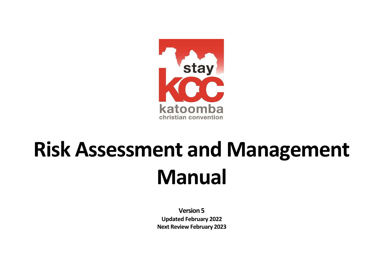

# **Risk Assessment and Management Manual**

**Version 5 Updated February 2022 Next Review February 2023**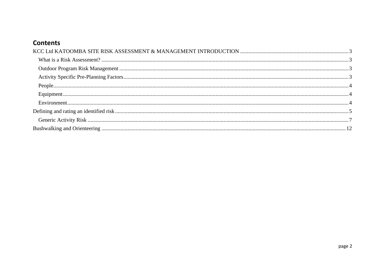## **Contents**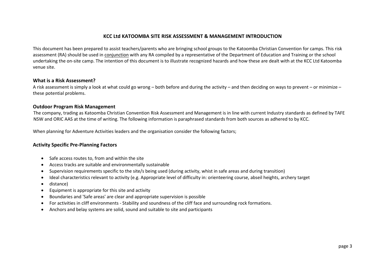#### **KCC Ltd KATOOMBA SITE RISK ASSESSMENT & MANAGEMENT INTRODUCTION**

<span id="page-2-0"></span>This document has been prepared to assist teachers/parents who are bringing school groups to the Katoomba Christian Convention for camps. This risk assessment (RA) should be used in conjunction with any RA compiled by a representative of the Department of Education and Training or the school undertaking the on-site camp. The intention of this document is to illustrate recognized hazards and how these are dealt with at the KCC Ltd Katoomba venue site.

#### <span id="page-2-1"></span>**What is a Risk Assessment?**

A risk assessment is simply a look at what could go wrong – both before and during the activity – and then deciding on ways to prevent – or minimize – these potential problems.

#### <span id="page-2-2"></span>**Outdoor Program Risk Management**

The company, trading as Katoomba Christian Convention Risk Assessment and Management is in line with current Industry standards as defined by TAFE NSW and ORIC AAS at the time of writing. The following information is paraphrased standards from both sources as adhered to by KCC.

When planning for Adventure Activities leaders and the organisation consider the following factors;

#### <span id="page-2-3"></span>**Activity Specific Pre-Planning Factors**

- Safe access routes to, from and within the site
- Access tracks are suitable and environmentally sustainable
- Supervision requirements specific to the site/s being used (during activity, whist in safe areas and during transition)
- Ideal characteristics relevant to activity (e.g. Appropriate level of difficulty in: orienteering course, abseil heights, archery target
- distance)
- Equipment is appropriate for this site and activity
- Boundaries and 'Safe areas' are clear and appropriate supervision is possible
- For activities in cliff environments Stability and soundness of the cliff face and surrounding rock formations.
- Anchors and belay systems are solid, sound and suitable to site and participants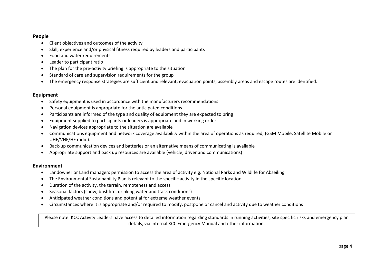#### <span id="page-3-0"></span>**People**

- Client objectives and outcomes of the activity
- Skill, experience and/or physical fitness required by leaders and participants
- Food and water requirements
- Leader to participant ratio
- The plan for the pre-activity briefing is appropriate to the situation
- Standard of care and supervision requirements for the group
- The emergency response strategies are sufficient and relevant; evacuation points, assembly areas and escape routes are identified.

#### <span id="page-3-1"></span>**Equipment**

- Safety equipment is used in accordance with the manufacturers recommendations
- Personal equipment is appropriate for the anticipated conditions
- Participants are informed of the type and quality of equipment they are expected to bring
- Equipment supplied to participants or leaders is appropriate and in working order
- Navigation devices appropriate to the situation are available
- Communications equipment and network coverage availability within the area of operations as required; (GSM Mobile, Satellite Mobile or UHF/VHF/HF radio).
- Back-up communication devices and batteries or an alternative means of communicating is available
- Appropriate support and back up resources are available (vehicle, driver and communications)

#### <span id="page-3-2"></span>**Environment**

- Landowner or Land managers permission to access the area of activity e.g. National Parks and Wildlife for Abseiling
- The Environmental Sustainability Plan is relevant to the specific activity in the specific location
- Duration of the activity, the terrain, remoteness and access
- Seasonal factors (snow, bushfire, drinking water and track conditions)
- Anticipated weather conditions and potential for extreme weather events
- Circumstances where it is appropriate and/or required to modify, postpone or cancel and activity due to weather conditions

Please note: KCC Activity Leaders have access to detailed information regarding standards in running activities, site specific risks and emergency plan details, via internal KCC Emergency Manual and other information.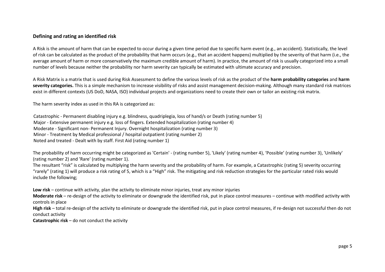#### <span id="page-4-0"></span>**Defining and rating an identified risk**

A Risk is the amount of harm that can be expected to occur during a given time period due to specific harm event (e.g., an accident). Statistically, the level of risk can be calculated as the product of the probability that harm occurs (e.g., that an accident happens) multiplied by the severity of that harm (i.e., the average amount of harm or more conservatively the maximum credible amount of harm). In practice, the amount of risk is usually categorized into a small number of levels because neither the probability nor harm severity can typically be estimated with ultimate accuracy and precision.

A Risk Matrix is a matrix that is used during Risk Assessment to define the various levels of risk as the product of the **harm probability categories** and **harm severity categories.** This is a simple mechanism to increase visibility of risks and assist management decision-making. Although many standard risk matrices exist in different contexts (US DoD, NASA, ISO) individual projects and organizations need to create their own or tailor an existing risk matrix.

The harm severity index as used in this RA is categorized as:

Catastrophic - Permanent disabling injury e.g. blindness, quadriplegia, loss of hand/s or Death (rating number 5) Major - Extensive permanent injury e.g. loss of fingers. Extended hospitalization (rating number 4) Moderate - Significant non- Permanent Injury. Overnight hospitalization (rating number 3) Minor - Treatment by Medical professional / hospital outpatient (rating number 2) Noted and treated - Dealt with by staff. First Aid (rating number 1)

The probability of harm occurring might be categorized as 'Certain' - (rating number 5), 'Likely' (rating number 4), 'Possible' (rating number 3), 'Unlikely' (rating number 2) and 'Rare' (rating number 1).

The resultant "risk" is calculated by multiplying the harm severity and the probability of harm. For example, a Catastrophic (rating 5) severity occurring "rarely" (rating 1) will produce a risk rating of 5, which is a "High" risk. The mitigating and risk reduction strategies for the particular rated risks would include the following;

**Low risk** – continue with activity, plan the activity to eliminate minor injuries, treat any minor injuries

**Moderate risk** – re-design of the activity to eliminate or downgrade the identified risk, put in place control measures – continue with modified activity with controls in place

**High risk** – total re-design of the activity to eliminate or downgrade the identified risk, put in place control measures, if re-design not successful then do not conduct activity

**Catastrophic risk** – do not conduct the activity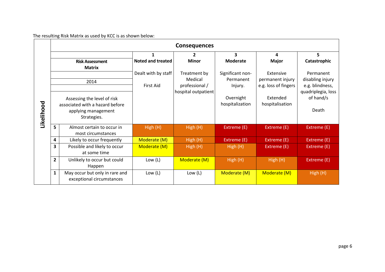The resulting Risk Matrix as used by KCC is as shown below:

|            |                         |                                 |                          | <b>Consequences</b> |                  |                      |                    |
|------------|-------------------------|---------------------------------|--------------------------|---------------------|------------------|----------------------|--------------------|
|            |                         |                                 |                          | 2                   | 3                | 4                    | 5                  |
|            |                         | <b>Risk Assessment</b>          | <b>Noted and treated</b> | <b>Minor</b>        | <b>Moderate</b>  | <b>Major</b>         | Catastrophic       |
|            |                         | <b>Matrix</b>                   |                          |                     |                  |                      |                    |
|            |                         |                                 | Dealt with by staff      | Treatment by        | Significant non- | Extensive            | Permanent          |
|            |                         | 2014                            |                          | Medical             | Permanent        | permanent injury     | disabling injury   |
|            |                         |                                 | First Aid                | professional /      | Injury.          | e.g. loss of fingers | e.g. blindness,    |
|            |                         |                                 |                          | hospital outpatient |                  |                      | quadriplegia, loss |
|            |                         | Assessing the level of risk     |                          |                     | Overnight        | Extended             | of hand/s          |
|            |                         | associated with a hazard before |                          |                     | hospitalization  |                      |                    |
|            |                         | applying management             |                          |                     |                  | Death                |                    |
|            |                         | Strategies.                     |                          |                     |                  |                      |                    |
| Likelihood |                         |                                 |                          |                     |                  |                      |                    |
|            | 5                       | Almost certain to occur in      | High (H)                 | High (H)            | Extreme (E)      | Extreme (E)          | Extreme (E)        |
|            |                         | most circumstances              |                          |                     |                  |                      |                    |
|            | 4                       | Likely to occur frequently      | Moderate (M)             | High (H)            | Extreme (E)      | Extreme (E)          | Extreme (E)        |
|            | $\overline{\mathbf{3}}$ | Possible and likely to occur    | Moderate (M)             | High (H)            | High (H)         | Extreme (E)          | Extreme (E)        |
|            |                         | at some time                    |                          |                     |                  |                      |                    |
|            | $\overline{2}$          | Unlikely to occur but could     | Low $(L)$                | Moderate (M)        | High(H)          | High (H)             | Extreme (E)        |
|            |                         | Happen                          |                          |                     |                  |                      |                    |
|            | $\mathbf{1}$            | May occur but only in rare and  | Low $(L)$                | Low $(L)$           | Moderate (M)     | Moderate (M)         | High (H)           |
|            |                         | exceptional circumstances       |                          |                     |                  |                      |                    |
|            |                         |                                 |                          |                     |                  |                      |                    |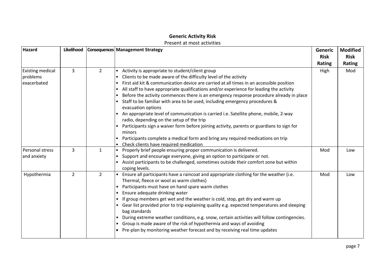## **Generic Activity Risk**

### Present at most activities

<span id="page-6-0"></span>

| <b>Hazard</b>                                      | Likelihood     |                | Consequences Management Strategy                                                                                                                                                                                                                                                                                                                                                                                                                                                                                                                                                                                                                                                                                                                                                                                                                                                     | <b>Generic</b><br><b>Risk</b><br>Rating | <b>Modified</b><br><b>Risk</b><br>Rating |
|----------------------------------------------------|----------------|----------------|--------------------------------------------------------------------------------------------------------------------------------------------------------------------------------------------------------------------------------------------------------------------------------------------------------------------------------------------------------------------------------------------------------------------------------------------------------------------------------------------------------------------------------------------------------------------------------------------------------------------------------------------------------------------------------------------------------------------------------------------------------------------------------------------------------------------------------------------------------------------------------------|-----------------------------------------|------------------------------------------|
| <b>Existing medical</b><br>problems<br>exacerbated | 3              | $\overline{2}$ | Activity is appropriate to student/client group<br>Clients to be made aware of the difficulty level of the activity<br>First aid kit & communication device are carried at all times in an accessible position<br>All staff to have appropriate qualifications and/or experience for leading the activity<br>Before the activity commences there is an emergency response procedure already in place<br>Staff to be familiar with area to be used, including emergency procedures &<br>evacuation options<br>• An appropriate level of communication is carried i.e. Satellite phone, mobile, 2-way<br>radio, depending on the setup of the trip<br>Participants sign a waiver form before joining activity, parents or guardians to sign for<br>minors<br>Participants complete a medical form and bring any required medications on trip<br>Check clients have required medication | High                                    | Mod                                      |
| Personal stress<br>and anxiety                     | $\overline{3}$ | $\mathbf{1}$   | Properly brief people ensuring proper communication is delivered.<br>Support and encourage everyone, giving an option to participate or not.<br>Assist participants to be challenged, sometimes outside their comfort zone but within<br>coping levels.                                                                                                                                                                                                                                                                                                                                                                                                                                                                                                                                                                                                                              | Mod                                     | Low                                      |
| Hypothermia                                        | $\overline{2}$ | 2              | Ensure all participants have a raincoat and appropriate clothing for the weather (i.e.<br>Thermal, fleece or wool as warm clothes)<br>Participants must have on hand spare warm clothes<br>Ensure adequate drinking water<br>If group members get wet and the weather is cold, stop, get dry and warm up<br>Gear list provided prior to trip explaining quality e.g. expected temperatures and sleeping<br>bag standards<br>During extreme weather conditions, e.g. snow, certain activities will follow contingencies.<br>Group is made aware of the risk of hypothermia and ways of avoiding<br>Pre-plan by monitoring weather forecast and by receiving real time updates                                                                                                                                                                                                         | Mod                                     | Low                                      |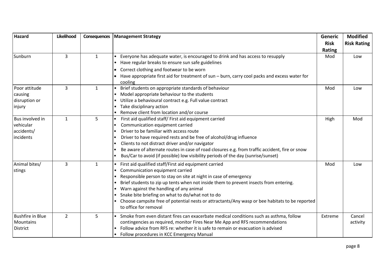| <b>Hazard</b>           | Likelihood     | Consequences | <b>Management Strategy</b>                                                                               | Generic       | <b>Modified</b>    |
|-------------------------|----------------|--------------|----------------------------------------------------------------------------------------------------------|---------------|--------------------|
|                         |                |              |                                                                                                          | <b>Risk</b>   | <b>Risk Rating</b> |
|                         |                |              |                                                                                                          | <b>Rating</b> |                    |
| Sunburn                 | 3              | $\mathbf{1}$ | Everyone has adequate water, is encouraged to drink and has access to resupply                           | Mod           | Low                |
|                         |                |              | Have regular breaks to ensure sun safe guidelines                                                        |               |                    |
|                         |                |              | Correct clothing and footwear to be worn<br>$\bullet$                                                    |               |                    |
|                         |                |              | Have appropriate first aid for treatment of sun - burn, carry cool packs and excess water for<br>cooling |               |                    |
| Poor attitude           | 3              | $\mathbf{1}$ | Brief students on appropriate standards of behaviour                                                     | Mod           | Low                |
| causing                 |                |              | Model appropriate behaviour to the students                                                              |               |                    |
| disruption or           |                |              | Utilize a behavioural contract e.g. Full value contract                                                  |               |                    |
| injury                  |                |              | Take disciplinary action                                                                                 |               |                    |
|                         |                |              | Remove client from location and/or course                                                                |               |                    |
| Bus involved in         | 1              | 5            | First aid qualified staff/ First aid equipment carried                                                   | High          | Mod                |
| vehicular               |                |              | Communication equipment carried                                                                          |               |                    |
| accidents/              |                |              | Driver to be familiar with access route                                                                  |               |                    |
| incidents               |                |              | Driver to have required rests and be free of alcohol/drug influence                                      |               |                    |
|                         |                |              | Clients to not distract driver and/or navigator                                                          |               |                    |
|                         |                |              | Be aware of alternate routes in case of road closures e.g. from traffic accident, fire or snow           |               |                    |
|                         |                |              | Bus/Car to avoid (if possible) low visibility periods of the day (sunrise/sunset)                        |               |                    |
| Animal bites/           | $\overline{3}$ | $\mathbf{1}$ | First aid qualified staff/First aid equipment carried<br>$\bullet$                                       | Mod           | Low                |
| stings                  |                |              | Communication equipment carried                                                                          |               |                    |
|                         |                |              | Responsible person to stay on site at night in case of emergency                                         |               |                    |
|                         |                |              | Brief students to zip up tents when not inside them to prevent insects from entering.                    |               |                    |
|                         |                |              | Warn against the handling of any animal                                                                  |               |                    |
|                         |                |              | Snake bite briefing on what to do/what not to do                                                         |               |                    |
|                         |                |              | Choose campsite free of potential nests or attractants/Any wasp or bee habitats to be reported           |               |                    |
|                         |                |              | to office for removal                                                                                    |               |                    |
| <b>Bushfire in Blue</b> | $\overline{2}$ | 5            | Smoke from even distant fires can exacerbate medical conditions such as asthma, follow                   | Extreme       | Cancel             |
| Mountains               |                |              | contingencies as required, monitor Fires Near Me App and RFS recommendations                             |               | activity           |
| <b>District</b>         |                |              | Follow advice from RFS re: whether it is safe to remain or evacuation is advised                         |               |                    |
|                         |                |              | Follow procedures in KCC Emergency Manual                                                                |               |                    |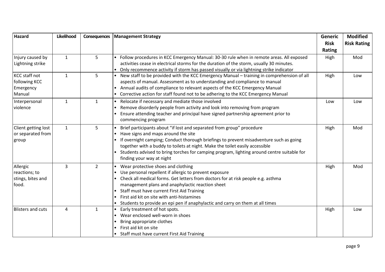| <b>Hazard</b>            | Likelihood     | Consequences   | <b>Management Strategy</b>                                                                                                                                                          | Generic       | <b>Modified</b>    |
|--------------------------|----------------|----------------|-------------------------------------------------------------------------------------------------------------------------------------------------------------------------------------|---------------|--------------------|
|                          |                |                |                                                                                                                                                                                     | <b>Risk</b>   | <b>Risk Rating</b> |
|                          |                |                |                                                                                                                                                                                     | <b>Rating</b> |                    |
| Injury caused by         | $\mathbf{1}$   | 5              | Follow procedures in KCC Emergency Manual: 30-30 rule when in remote areas. All exposed                                                                                             | High          | Mod                |
| Lightning strike         |                |                | activities cease in electrical storms for the duration of the storm, usually 30 minutes.<br>Only recommence activity if storm has passed visually or via lightning strike indicator |               |                    |
| KCC staff not            | $\mathbf{1}$   | 5              | New staff to be provided with the KCC Emergency Manual - training in comprehension of all                                                                                           | High          | Low                |
| following KCC            |                |                | aspects of manual. Assessment as to understanding and compliance to manual                                                                                                          |               |                    |
| Emergency                |                |                | Annual audits of compliance to relevant aspects of the KCC Emergency Manual                                                                                                         |               |                    |
| Manual                   |                |                | Corrective action for staff found not to be adhering to the KCC Emergency Manual                                                                                                    |               |                    |
| Interpersonal            | $\mathbf{1}$   | $\mathbf{1}$   | Relocate if necessary and mediate those involved<br>$\bullet$                                                                                                                       | Low           | Low                |
| violence                 |                |                | Remove disorderly people from activity and look into removing from program                                                                                                          |               |                    |
|                          |                |                | Ensure attending teacher and principal have signed partnership agreement prior to                                                                                                   |               |                    |
|                          |                |                | commencing program                                                                                                                                                                  |               |                    |
| Client getting lost      | $\mathbf{1}$   | 5              | Brief participants about "if lost and separated from group" procedure                                                                                                               | High          | Mod                |
| or separated from        |                |                | Have signs and maps around the site                                                                                                                                                 |               |                    |
| group                    |                |                | If overnight camping; Conduct thorough briefings to prevent misadventure such as going                                                                                              |               |                    |
|                          |                |                | together with a buddy to toilets at night. Make the toilet easily accessible                                                                                                        |               |                    |
|                          |                |                | Students advised to bring torches for camping program, lighting around centre suitable for<br>finding your way at night                                                             |               |                    |
| Allergic                 | $\overline{3}$ | $\overline{2}$ | • Wear protective shoes and clothing                                                                                                                                                |               | Mod                |
| reactions; to            |                |                | Use personal repellent if allergic to prevent exposure                                                                                                                              | High          |                    |
| stings, bites and        |                |                | Check all medical forms. Get letters from doctors for at risk people e.g. asthma                                                                                                    |               |                    |
| food.                    |                |                | management plans and anaphylactic reaction sheet                                                                                                                                    |               |                    |
|                          |                |                | Staff must have current First Aid Training                                                                                                                                          |               |                    |
|                          |                |                | First aid kit on site with anti-histamines                                                                                                                                          |               |                    |
|                          |                |                | Students to provide an epi pen if anaphylactic and carry on them at all times                                                                                                       |               |                    |
| <b>Blisters and cuts</b> | 4              | $\mathbf{1}$   | Early treatment of hot spots.                                                                                                                                                       | High          | Low                |
|                          |                |                | Wear enclosed well-worn in shoes                                                                                                                                                    |               |                    |
|                          |                |                | Bring appropriate clothes                                                                                                                                                           |               |                    |
|                          |                |                | First aid kit on site                                                                                                                                                               |               |                    |
|                          |                |                | Staff must have current First Aid Training                                                                                                                                          |               |                    |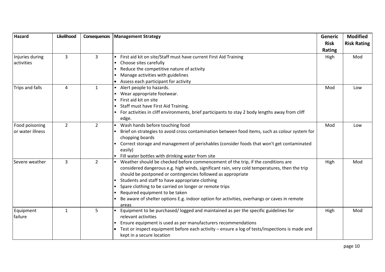| <b>Hazard</b>    | Likelihood     | Consequences   | <b>Management Strategy</b>                                                                      | <b>Generic</b> | <b>Modified</b>    |
|------------------|----------------|----------------|-------------------------------------------------------------------------------------------------|----------------|--------------------|
|                  |                |                |                                                                                                 | <b>Risk</b>    | <b>Risk Rating</b> |
|                  |                |                |                                                                                                 | <b>Rating</b>  |                    |
| Injuries during  | 3              | $\overline{3}$ | First aid kit on site/Staff must have current First Aid Training                                | High           | Mod                |
| activities       |                |                | Choose sites carefully                                                                          |                |                    |
|                  |                |                | Reduce the competitive nature of activity                                                       |                |                    |
|                  |                |                | Manage activities with guidelines                                                               |                |                    |
|                  |                |                | Assess each participant for activity                                                            |                |                    |
| Trips and falls  | 4              | $\mathbf{1}$   | Alert people to hazards.                                                                        | Mod            | Low                |
|                  |                |                | Wear appropriate footwear.                                                                      |                |                    |
|                  |                |                | First aid kit on site                                                                           |                |                    |
|                  |                |                | Staff must have First Aid Training.                                                             |                |                    |
|                  |                |                | For activities in cliff environments, brief participants to stay 2 body lengths away from cliff |                |                    |
|                  |                |                | edge.                                                                                           |                |                    |
| Food poisoning   | $\overline{2}$ | $\overline{2}$ | Wash hands before touching food                                                                 | Mod            | Low                |
| or water illness |                |                | Brief on strategies to avoid cross contamination between food items, such as colour system for  |                |                    |
|                  |                |                | chopping boards                                                                                 |                |                    |
|                  |                |                | Correct storage and management of perishables (consider foods that won't get contaminated       |                |                    |
|                  |                |                | easily)                                                                                         |                |                    |
|                  |                |                | Fill water bottles with drinking water from site                                                |                |                    |
| Severe weather   | 3              | $\overline{2}$ | Weather should be checked before commencement of the trip, if the conditions are                | High           | Mod                |
|                  |                |                | considered dangerous e.g. high winds, significant rain, very cold temperatures, then the trip   |                |                    |
|                  |                |                | should be postponed or contingencies followed as appropriate                                    |                |                    |
|                  |                |                | Students and staff to have appropriate clothing                                                 |                |                    |
|                  |                |                | Spare clothing to be carried on longer or remote trips                                          |                |                    |
|                  |                |                | Required equipment to be taken                                                                  |                |                    |
|                  |                |                | Be aware of shelter options E.g. indoor option for activities, overhangs or caves in remote     |                |                    |
|                  |                |                | areas                                                                                           |                |                    |
| Equipment        | $\mathbf{1}$   | 5              | Equipment to be purchased/ logged and maintained as per the specific guidelines for             | High           | Mod                |
| failure          |                |                | relevant activities                                                                             |                |                    |
|                  |                |                | Ensure equipment is used as per manufacturers recommendations                                   |                |                    |
|                  |                |                | Test or inspect equipment before each activity - ensure a log of tests/inspections is made and  |                |                    |
|                  |                |                | kept in a secure location                                                                       |                |                    |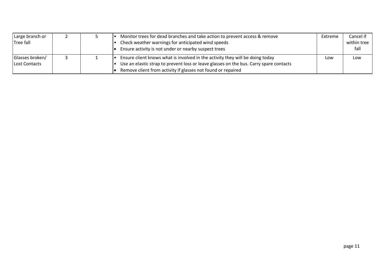| Large branch or<br>Tree fall     |  | Monitor trees for dead branches and take action to prevent access & remove<br>Check weather warnings for anticipated wind speeds<br>Ensure activity is not under or nearby suspect trees                                                | Extreme | Cancel if<br>within tree<br>fall |
|----------------------------------|--|-----------------------------------------------------------------------------------------------------------------------------------------------------------------------------------------------------------------------------------------|---------|----------------------------------|
| Glasses broken/<br>Lost Contacts |  | Ensure client knows what is involved in the activity they will be doing today<br>Use an elastic strap to prevent loss or leave glasses on the bus. Carry spare contacts<br>Remove client from activity if glasses not found or repaired | Low     | Low                              |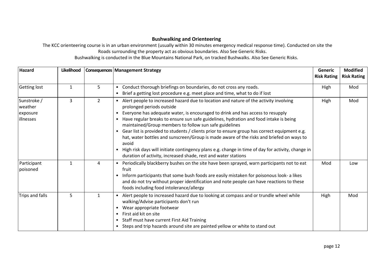## **Bushwalking and Orienteering**

<span id="page-11-0"></span>The KCC orienteering course is in an urban environment (usually within 30 minutes emergency medical response time). Conducted on site the Roads surrounding the property act as obvious boundaries. Also See Generic Risks.

Bushwalking is conducted in the Blue Mountains National Park, on tracked Bushwalks. Also See Generic Risks.

| <b>Hazard</b>                                   | Likelihood   |                | <b>Consequences   Management Strategy</b>                                                                                                                                                                                                                                                                                                                                                                                                                                                                                                                                                                                                                                                                                                                     | <b>Generic</b><br><b>Risk Rating</b> | <b>Modified</b><br><b>Risk Rating</b> |
|-------------------------------------------------|--------------|----------------|---------------------------------------------------------------------------------------------------------------------------------------------------------------------------------------------------------------------------------------------------------------------------------------------------------------------------------------------------------------------------------------------------------------------------------------------------------------------------------------------------------------------------------------------------------------------------------------------------------------------------------------------------------------------------------------------------------------------------------------------------------------|--------------------------------------|---------------------------------------|
| <b>Getting lost</b>                             | $\mathbf{1}$ | 5              | Conduct thorough briefings on boundaries, do not cross any roads.<br>$\bullet$<br>Brief a getting lost procedure e.g. meet place and time, what to do if lost<br>$\bullet$                                                                                                                                                                                                                                                                                                                                                                                                                                                                                                                                                                                    | High                                 | Mod                                   |
| Sunstroke /<br>weather<br>exposure<br>illnesses | 3            | $\overline{2}$ | Alert people to increased hazard due to location and nature of the activity involving<br>prolonged periods outside<br>Everyone has adequate water, is encouraged to drink and has access to resupply<br>Have regular breaks to ensure sun safe guidelines, hydration and food intake is being<br>maintained/Group members to follow sun safe guidelines<br>Gear list is provided to students / clients prior to ensure group has correct equipment e.g.<br>$\bullet$<br>hat, water bottles and sunscreen/Group is made aware of the risks and briefed on ways to<br>avoid<br>High risk days will initiate contingency plans e.g. change in time of day for activity, change in<br>$\bullet$<br>duration of activity, increased shade, rest and water stations | High                                 | Mod                                   |
| Participant<br>poisoned                         | 1            | 4              | Periodically blackberry bushes on the site have been sprayed, warn participants not to eat<br>fruit<br>Inform participants that some bush foods are easily mistaken for poisonous look- a likes<br>$\bullet$<br>and do not try without proper identification and note people can have reactions to these<br>foods including food intolerance/allergy                                                                                                                                                                                                                                                                                                                                                                                                          | Mod                                  | Low                                   |
| Trips and falls                                 | 5            | $\mathbf{1}$   | Alert people to increased hazard due to looking at compass and or trundle wheel while<br>walking/Advise participants don't run<br>Wear appropriate footwear<br>First aid kit on site<br>Staff must have current First Aid Training<br>Steps and trip hazards around site are painted yellow or white to stand out                                                                                                                                                                                                                                                                                                                                                                                                                                             | High                                 | Mod                                   |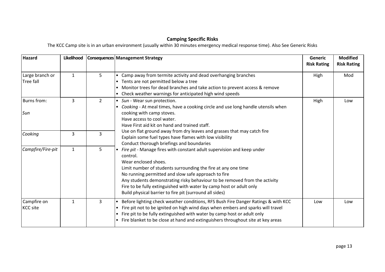## **Camping Specific Risks**

The KCC Camp site is in an urban environment (usually within 30 minutes emergency medical response time). Also See Generic Risks

| <b>Hazard</b>                  | Likelihood   |                | Consequences Management Strategy                                                                                                                                                                                                                                                                                                                                                                                                                   | Generic<br><b>Risk Rating</b> | <b>Modified</b><br><b>Risk Rating</b> |
|--------------------------------|--------------|----------------|----------------------------------------------------------------------------------------------------------------------------------------------------------------------------------------------------------------------------------------------------------------------------------------------------------------------------------------------------------------------------------------------------------------------------------------------------|-------------------------------|---------------------------------------|
| Large branch or<br>Tree fall   | $\mathbf{1}$ | 5              | Camp away from termite activity and dead overhanging branches<br>Tents are not permitted below a tree<br>Monitor trees for dead branches and take action to prevent access & remove<br>• Check weather warnings for anticipated high wind speeds                                                                                                                                                                                                   | High                          | Mod                                   |
| Burns from:<br>Sun             | 3            | $\overline{2}$ | • Sun - Wear sun protection.<br>Cooking - At meal times, have a cooking circle and use long handle utensils when<br>cooking with camp stoves.<br>Have access to cool water.<br>Have First aid kit on hand and trained staff.                                                                                                                                                                                                                       | High                          | Low                                   |
| Cooking                        | 3            | 3              | Use on flat ground away from dry leaves and grasses that may catch fire<br>Explain some fuel types have flames with low visibility<br>Conduct thorough briefings and boundaries                                                                                                                                                                                                                                                                    |                               |                                       |
| Campfire/Fire-pit              | $\mathbf{1}$ | 5              | Fire pit - Manage fires with constant adult supervision and keep under<br>control.<br>Wear enclosed shoes.<br>Limit number of students surrounding the fire at any one time<br>No running permitted and slow safe approach to fire<br>Any students demonstrating risky behaviour to be removed from the activity<br>Fire to be fully extinguished with water by camp host or adult only<br>Build physical barrier to fire pit (surround all sides) |                               |                                       |
| Campfire on<br><b>KCC site</b> | $\mathbf{1}$ | $\overline{3}$ | Before lighting check weather conditions, RFS Bush Fire Danger Ratings & with KCC<br>Fire pit not to be ignited on high wind days when embers and sparks will travel<br>Fire pit to be fully extinguished with water by camp host or adult only<br>Fire blanket to be close at hand and extinguishers throughout site at key areas                                                                                                                 | Low                           | Low                                   |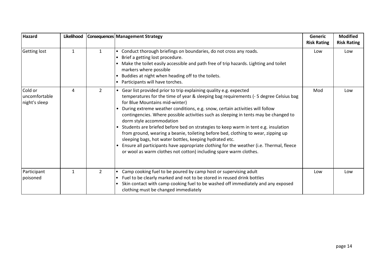| Hazard                                    | Likelihood   |                | <b>Consequences Management Strategy</b>                                                                                                                                                                                                                                                                                                                                                                                                                                                                                                                                                                                                                                                                                                                                                                       | <b>Generic</b><br><b>Risk Rating</b> | <b>Modified</b><br><b>Risk Rating</b> |
|-------------------------------------------|--------------|----------------|---------------------------------------------------------------------------------------------------------------------------------------------------------------------------------------------------------------------------------------------------------------------------------------------------------------------------------------------------------------------------------------------------------------------------------------------------------------------------------------------------------------------------------------------------------------------------------------------------------------------------------------------------------------------------------------------------------------------------------------------------------------------------------------------------------------|--------------------------------------|---------------------------------------|
| <b>Getting lost</b>                       | $\mathbf{1}$ | $\mathbf{1}$   | • Conduct thorough briefings on boundaries, do not cross any roads.<br>Brief a getting lost procedure.<br>Make the toilet easily accessible and path free of trip hazards. Lighting and toilet<br>markers where possible<br>Buddies at night when heading off to the toilets.<br>Participants will have torches.                                                                                                                                                                                                                                                                                                                                                                                                                                                                                              | Low                                  | Low                                   |
| Cold or<br>uncomfortable<br>night's sleep | 4            | $\overline{2}$ | • Gear list provided prior to trip explaining quality e.g. expected<br>temperatures for the time of year & sleeping bag requirements (-5 degree Celsius bag<br>for Blue Mountains mid-winter)<br>• During extreme weather conditions, e.g. snow, certain activities will follow<br>contingencies. Where possible activities such as sleeping in tents may be changed to<br>dorm style accommodation<br>• Students are briefed before bed on strategies to keep warm in tent e.g. insulation<br>from ground, wearing a beanie, toileting before bed, clothing to wear, zipping up<br>sleeping bags, hot water bottles, keeping hydrated etc.<br>• Ensure all participants have appropriate clothing for the weather (i.e. Thermal, fleece<br>or wool as warm clothes not cotton) including spare warm clothes. | Mod                                  | Low                                   |
| Participant<br>poisoned                   | $\mathbf{1}$ | $\overline{2}$ | Camp cooking fuel to be poured by camp host or supervising adult<br>Fuel to be clearly marked and not to be stored in reused drink bottles<br>$\bullet$<br>Skin contact with camp cooking fuel to be washed off immediately and any exposed<br>clothing must be changed immediately                                                                                                                                                                                                                                                                                                                                                                                                                                                                                                                           | Low                                  | Low                                   |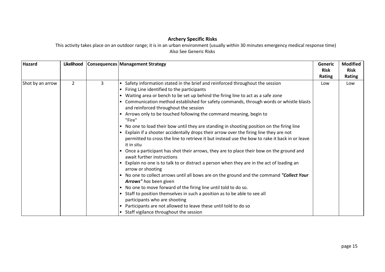## **Archery Specific Risks**

This activity takes place on an outdoor range; it is in an urban environment (usually within 30 minutes emergency medical response time) Also See Generic Risks

| Hazard           | Likelihood     |   | <b>Consequences Management Strategy</b>                                                                                                                                                                                                                                                                                                                                                                                                                                                                                                               | Generic     | <b>Modified</b> |
|------------------|----------------|---|-------------------------------------------------------------------------------------------------------------------------------------------------------------------------------------------------------------------------------------------------------------------------------------------------------------------------------------------------------------------------------------------------------------------------------------------------------------------------------------------------------------------------------------------------------|-------------|-----------------|
|                  |                |   |                                                                                                                                                                                                                                                                                                                                                                                                                                                                                                                                                       | <b>Risk</b> | <b>Risk</b>     |
|                  |                |   |                                                                                                                                                                                                                                                                                                                                                                                                                                                                                                                                                       | Rating      | Rating          |
| Shot by an arrow | $\overline{2}$ | 3 | Safety information stated in the brief and reinforced throughout the session<br>Firing Line identified to the participants<br>Waiting area or bench to be set up behind the firing line to act as a safe zone<br>Communication method established for safety commands, through words or whistle blasts                                                                                                                                                                                                                                                | Low         | Low             |
|                  |                |   | and reinforced throughout the session<br>Arrows only to be touched following the command meaning, begin to                                                                                                                                                                                                                                                                                                                                                                                                                                            |             |                 |
|                  |                |   | "Fire"<br>No one to load their bow until they are standing in shooting position on the firing line<br>Explain if a shooter accidentally drops their arrow over the firing line they are not<br>permitted to cross the line to retrieve it but instead use the bow to rake it back in or leave<br>it in situ<br>Once a participant has shot their arrows, they are to place their bow on the ground and<br>await further instructions<br>Explain no one is to talk to or distract a person when they are in the act of loading an<br>arrow or shooting |             |                 |
|                  |                |   | No one to collect arrows until all bows are on the ground and the command "Collect Your<br>$\bullet$<br>Arrows" has been given<br>No one to move forward of the firing line until told to do so.<br>$\bullet$<br>Staff to position themselves in such a position as to be able to see all<br>participants who are shooting<br>Participants are not allowed to leave these until told to do so<br>Staff vigilance throughout the session                                                                                                               |             |                 |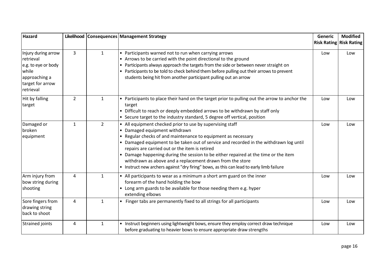| Hazard                                                                                                             |                |                | Likelihood   Consequences   Management Strategy                                                                                                                                                                                                                                                                                                                                                                                                                                                                                                     | <b>Generic</b> | <b>Modified</b><br><b>Risk Rating Risk Rating</b> |
|--------------------------------------------------------------------------------------------------------------------|----------------|----------------|-----------------------------------------------------------------------------------------------------------------------------------------------------------------------------------------------------------------------------------------------------------------------------------------------------------------------------------------------------------------------------------------------------------------------------------------------------------------------------------------------------------------------------------------------------|----------------|---------------------------------------------------|
| Injury during arrow<br>retrieval<br>e.g. to eye or body<br>while<br>approaching a<br>target for arrow<br>retrieval | $\overline{3}$ | $\mathbf{1}$   | • Participants warned not to run when carrying arrows<br>• Arrows to be carried with the point directional to the ground<br>Participants always approach the targets from the side or between never straight on<br>Participants to be told to check behind them before pulling out their arrows to prevent<br>students being hit from another participant pulling out an arrow                                                                                                                                                                      | Low            | Low                                               |
| Hit by falling<br>target                                                                                           | $\overline{2}$ | $\mathbf{1}$   | • Participants to place their hand on the target prior to pulling out the arrow to anchor the<br>target<br>• Difficult to reach or deeply embedded arrows to be withdrawn by staff only<br>• Secure target to the industry standard, 5 degree off vertical, position                                                                                                                                                                                                                                                                                | Low            | Low                                               |
| Damaged or<br>broken<br>equipment                                                                                  | $\mathbf{1}$   | $\overline{2}$ | • All equipment checked prior to use by supervising staff<br>Damaged equipment withdrawn<br>• Regular checks of and maintenance to equipment as necessary<br>• Damaged equipment to be taken out of service and recorded in the withdrawn log until<br>repairs are carried out or the item is retired<br>Damage happening during the session to be either repaired at the time or the item<br>withdrawn as above and a replacement drawn from the store<br>• Instruct new archers against "dry firing" bows, as this can lead to early limb failure | Low            | Low                                               |
| Arm injury from<br>bow string during<br>shooting                                                                   | 4              | $\mathbf{1}$   | • All participants to wear as a minimum a short arm guard on the inner<br>forearm of the hand holding the bow<br>• Long arm guards to be available for those needing them e.g. hyper<br>extending elbows                                                                                                                                                                                                                                                                                                                                            | Low            | Low                                               |
| Sore fingers from<br>drawing string<br>back to shoot                                                               | $\overline{4}$ | $\mathbf{1}$   | • Finger tabs are permanently fixed to all strings for all participants                                                                                                                                                                                                                                                                                                                                                                                                                                                                             | Low            | Low                                               |
| <b>Strained joints</b>                                                                                             | 4              | $\mathbf{1}$   | • Instruct beginners using lightweight bows, ensure they employ correct draw technique<br>before graduating to heavier bows to ensure appropriate draw strengths                                                                                                                                                                                                                                                                                                                                                                                    | Low            | Low                                               |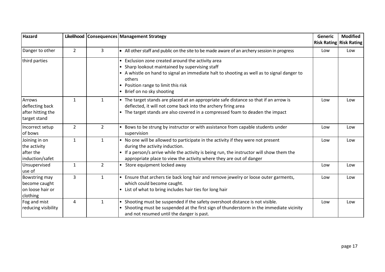| <b>Hazard</b>                                                  |                |                | Likelihood   Consequences   Management Strategy                                                                                                                                                                                                                                      | <b>Generic</b> | <b>Modified</b><br><b>Risk Rating Risk Rating</b> |
|----------------------------------------------------------------|----------------|----------------|--------------------------------------------------------------------------------------------------------------------------------------------------------------------------------------------------------------------------------------------------------------------------------------|----------------|---------------------------------------------------|
| Danger to other                                                | $\overline{2}$ | $\mathbf{3}$   | • All other staff and public on the site to be made aware of an archery session in progress                                                                                                                                                                                          | Low            | Low                                               |
| third parties                                                  |                |                | Exclusion zone created around the activity area<br>Sharp lookout maintained by supervising staff<br>A whistle on hand to signal an immediate halt to shooting as well as to signal danger to<br>others<br>Position range to limit this risk<br>Brief on no sky shooting              |                |                                                   |
| Arrows<br>deflecting back<br>after hitting the<br>target stand | $\mathbf{1}$   | 1              | The target stands are placed at an appropriate safe distance so that if an arrow is<br>deflected, it will not come back into the archery firing area<br>The target stands are also covered in a compressed foam to deaden the impact                                                 | Low            | Low                                               |
| Incorrect setup<br>of bows                                     | $\overline{2}$ | $\overline{2}$ | Bows to be strung by instructor or with assistance from capable students under<br>supervision                                                                                                                                                                                        | Low            | Low                                               |
| Joining in on<br>the activity<br>after the<br>induction/safet  | $\mathbf{1}$   | $\mathbf{1}$   | • No one will be allowed to participate in the activity if they were not present<br>during the activity induction.<br>If a person/s arrive while the activity is being run, the instructor will show them the<br>appropriate place to view the activity where they are out of danger | Low            | Low                                               |
| Unsupervised<br>use of                                         | $\mathbf{1}$   | $\overline{2}$ | Store equipment locked away                                                                                                                                                                                                                                                          | Low            | Low                                               |
| Bowstring may<br>become caught<br>on loose hair or<br>clothing | $\overline{3}$ | $\mathbf{1}$   | • Ensure that archers tie back long hair and remove jewelry or loose outer garments,<br>which could become caught.<br>List of what to bring includes hair ties for long hair                                                                                                         | Low            | Low                                               |
| Fog and mist<br>reducing visibility                            | 4              | $\mathbf{1}$   | Shooting must be suspended if the safety overshoot distance is not visible.<br>Shooting must be suspended at the first sign of thunderstorm in the immediate vicinity<br>and not resumed until the danger is past.                                                                   | Low            | Low                                               |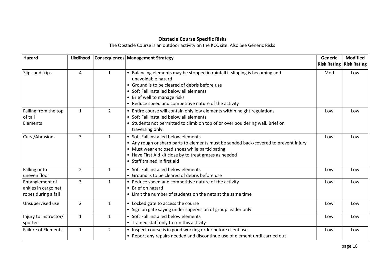## **Obstacle Course Specific Risks**

The Obstacle Course is an outdoor activity on the KCC site. Also See Generic Risks

| <b>Hazard</b>                                                 | Likelihood     |                | <b>Consequences Management Strategy</b>                                                                                                                                                                                                                                                  | <b>Generic</b><br><b>Risk Rating</b> | <b>Modified</b><br><b>Risk Rating</b> |
|---------------------------------------------------------------|----------------|----------------|------------------------------------------------------------------------------------------------------------------------------------------------------------------------------------------------------------------------------------------------------------------------------------------|--------------------------------------|---------------------------------------|
| Slips and trips                                               | 4              |                | • Balancing elements may be stopped in rainfall if slipping is becoming and<br>unavoidable hazard<br>• Ground is to be cleared of debris before use<br>• Soft Fall installed below all elements<br>• Brief well to manage risks<br>• Reduce speed and competitive nature of the activity | Mod                                  | Low                                   |
| Falling from the top<br>of tall<br>Elements                   | $\mathbf{1}$   | $\overline{2}$ | • Entire course will contain only low elements within height regulations<br>• Soft Fall installed below all elements<br>• Students not permitted to climb on top of or over bouldering wall. Brief on<br>traversing only.                                                                | Low                                  | Low                                   |
| Cuts / Abrasions                                              | 3              | $\mathbf{1}$   | • Soft Fall installed below elements<br>• Any rough or sharp parts to elements must be sanded back/covered to prevent injury<br>• Must wear enclosed shoes while participating<br>• Have First Aid kit close by to treat grazes as needed<br>• Staff trained in first aid                | Low                                  | Low                                   |
| Falling onto<br>uneven floor                                  | $\overline{2}$ | $\mathbf{1}$   | • Soft Fall installed below elements<br>• Ground is to be cleared of debris before use                                                                                                                                                                                                   | Low                                  | Low                                   |
| Entanglement of<br>ankles in cargo net<br>ropes during a fall | $\overline{3}$ | $\mathbf{1}$   | • Reduce speed and competitive nature of the activity<br>• Brief on hazard<br>• Limit the number of students on the nets at the same time                                                                                                                                                | Low                                  | Low                                   |
| Unsupervised use                                              | 2              | $\mathbf{1}$   | • Locked gate to access the course<br>• Sign on gate saying under supervision of group leader only                                                                                                                                                                                       | Low                                  | Low                                   |
| Injury to instructor/<br>spotter                              | $\mathbf{1}$   | $\mathbf{1}$   | • Soft Fall installed below elements<br>• Trained staff only to run this activity                                                                                                                                                                                                        | Low                                  | Low                                   |
| <b>Failure of Elements</b>                                    | $\mathbf{1}$   | $\overline{2}$ | • Inspect course is in good working order before client use.<br>• Report any repairs needed and discontinue use of element until carried out                                                                                                                                             | Low                                  | Low                                   |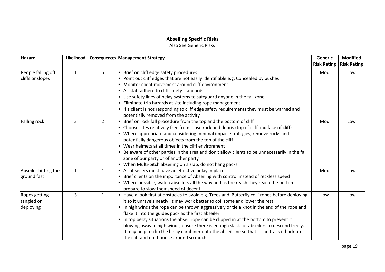## **Abseiling Specific Risks**

Also See Generic Risks

| <b>Hazard</b>                            | Likelihood   |                | Consequences Management Strategy                                                                                                                                                                                                                                                                                                                                                                                                                                                                                                                                                                                                                                                       | Generic<br><b>Risk Rating</b> | <b>Modified</b><br><b>Risk Rating</b> |
|------------------------------------------|--------------|----------------|----------------------------------------------------------------------------------------------------------------------------------------------------------------------------------------------------------------------------------------------------------------------------------------------------------------------------------------------------------------------------------------------------------------------------------------------------------------------------------------------------------------------------------------------------------------------------------------------------------------------------------------------------------------------------------------|-------------------------------|---------------------------------------|
| People falling off<br>cliffs or slopes   | $\mathbf{1}$ | 5              | • Brief on cliff edge safety procedures<br>Point out cliff edges that are not easily identifiable e.g. Concealed by bushes<br>• Monitor client movement around cliff environment<br>• All staff adhere to cliff safety standards<br>• Use safety lines of belay systems to safeguard anyone in the fall zone<br>Eliminate trip hazards at site including rope management<br>• If a client is not responding to cliff edge safety requirements they must be warned and<br>potentially removed from the activity                                                                                                                                                                         | Mod                           | Low                                   |
| <b>Falling rock</b>                      | 3            | $\overline{2}$ | Brief on rock fall procedure from the top and the bottom of cliff<br>• Choose sites relatively free from loose rock and debris (top of cliff and face of cliff)<br>• Where appropriate and considering minimal impact strategies, remove rocks and<br>potentially dangerous objects from the top of the cliff<br>Wear helmets at all times in the cliff environment<br>Be aware of other parties in the area and don't allow clients to be unnecessarily in the fall<br>zone of our party or of another party<br>• When Multi-pitch abseiling on a slab, do not hang packs                                                                                                             | Mod                           | Low                                   |
| Abseiler hitting the<br>ground fast      | $\mathbf{1}$ | $\mathbf{1}$   | • All abseilers must have an effective belay in place<br>• Brief clients on the importance of Abseiling with control instead of reckless speed<br>• Where possible, watch abseilers all the way and as the reach they reach the bottom<br>prepare to slow their speed of decent                                                                                                                                                                                                                                                                                                                                                                                                        | Mod                           | Low                                   |
| Ropes getting<br>tangled on<br>deploying | 3            | $\mathbf{1}$   | • Have a look first at obstacles to avoid e.g. Trees and 'Butterfly coil' ropes before deploying<br>it so it unravels neatly, it may work better to coil some and lower the rest.<br>In high winds the rope can be thrown aggressively or tie a knot in the end of the rope and<br>$\bullet$<br>flake it into the guides pack as the first abseiler<br>• In top belay situations the abseil rope can be clipped in at the bottom to prevent it<br>blowing away in high winds, ensure there is enough slack for abseilers to descend freely.<br>It may help to clip the belay carabiner onto the abseil line so that it can track it back up<br>the cliff and not bounce around so much | Low                           | Low                                   |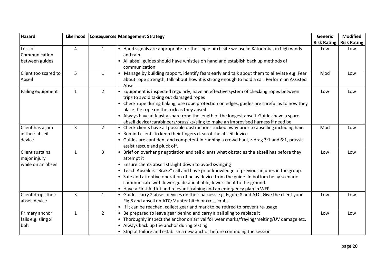| <b>Hazard</b>                                         | Likelihood     |                | Consequences Management Strategy                                                                                                                                                                                                                                                                                                                                                                                                                                                                          | <b>Generic</b>     | <b>Modified</b>    |
|-------------------------------------------------------|----------------|----------------|-----------------------------------------------------------------------------------------------------------------------------------------------------------------------------------------------------------------------------------------------------------------------------------------------------------------------------------------------------------------------------------------------------------------------------------------------------------------------------------------------------------|--------------------|--------------------|
|                                                       |                |                |                                                                                                                                                                                                                                                                                                                                                                                                                                                                                                           | <b>Risk Rating</b> | <b>Risk Rating</b> |
| Loss of<br>Communication<br>between guides            | 4              | $\mathbf{1}$   | • Hand signals are appropriate for the single pitch site we use in Katoomba, in high winds<br>and rain<br>• All abseil guides should have whistles on hand and establish back up methods of<br>communication                                                                                                                                                                                                                                                                                              | Low                | Low                |
| Client too scared to<br>Abseil                        | 5              | $\mathbf{1}$   | Manage by building rapport, identify fears early and talk about them to alleviate e.g. Fear<br>about rope strength, talk about how it is strong enough to hold a car. Perform an Assisted<br>Abseil                                                                                                                                                                                                                                                                                                       | Mod                | Low                |
| Failing equipment                                     | $\mathbf{1}$   | $\overline{2}$ | Equipment is inspected regularly, have an effective system of checking ropes between<br>trips to avoid taking out damaged ropes<br>• Check rope during flaking, use rope protection on edges, guides are careful as to how they<br>place the rope on the rock as they abseil<br>Always have at least a spare rope the length of the longest abseil. Guides have a spare<br>abseil device/carabineers/prussiks/sling to make an improvised harness if need be                                              | Low                | Low                |
| Client has a jam<br>in their abseil<br>device         | 3              | $\overline{2}$ | Check clients have all possible obstructions tucked away prior to abseiling including hair.<br>Remind clients to keep their fingers clear of the abseil device<br>$\bullet$<br>• Guides are confident and competent in running a crowd haul, z-drag 3:1 and 6:1, prussic<br>assist rescue and pluck off.                                                                                                                                                                                                  | Mod                | Low                |
| Client sustains<br>major injury<br>while on an abseil | 1              | 3              | Brief on overhang negotiation and tell clients what obstacles the abseil has before they<br>attempt it<br>Ensure clients abseil straight down to avoid swinging<br>Teach Abseilers "Brake" call and have prior knowledge of previous injuries in the group<br>• Safe and attentive operation of belay device from the guide. In bottom belay scenario<br>communicate with lower guide and if able, lower client to the ground.<br>Have a First Aid kit and relevant training and an emergency plan in WFP | Low                | Low                |
| Client drops their<br>abseil device                   | $\overline{3}$ | 1              | • Guides carry 2 abseil devices on their harness e.g. Figure 8 and ATC. Give the client your<br>Fig.8 and abseil on ATC/Munter hitch or cross crabs<br>• If it can be reached, collect gear and mark to be retired to prevent re-usage                                                                                                                                                                                                                                                                    | Low                | Low                |
| Primary anchor<br>fails e.g. sling xl<br>bolt         | $\mathbf{1}$   | $\overline{2}$ | Be prepared to leave gear behind and carry a bail sling to replace it<br>• Thoroughly inspect the anchor on arrival for wear marks/fraying/melting/UV damage etc.<br>• Always back up the anchor during testing<br>• Stop at failure and establish a new anchor before continuing the session                                                                                                                                                                                                             | Low                | Low                |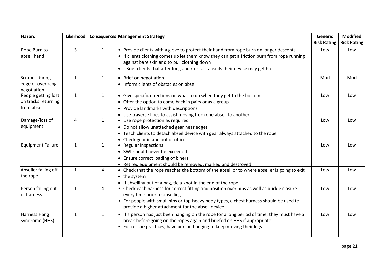| <b>Hazard</b>                                              | Likelihood   |              | Consequences Management Strategy                                                                                                                                                                                                                                                                                   | Generic                   | <b>Modified</b>           |
|------------------------------------------------------------|--------------|--------------|--------------------------------------------------------------------------------------------------------------------------------------------------------------------------------------------------------------------------------------------------------------------------------------------------------------------|---------------------------|---------------------------|
| Rope Burn to<br>abseil hand                                | 3            | $\mathbf{1}$ | Provide clients with a glove to protect their hand from rope burn on longer descents<br>• If clients clothing comes up let them know they can get a friction burn from rope running<br>against bare skin and to pull clothing down<br>Brief clients that after long and / or fast abseils their device may get hot | <b>Risk Rating</b><br>Low | <b>Risk Rating</b><br>Low |
| Scrapes during<br>edge or overhang<br>negotiation          | $\mathbf{1}$ | 1            | • Brief on negotiation<br>• Inform clients of obstacles on abseil                                                                                                                                                                                                                                                  | Mod                       | Mod                       |
| People getting lost<br>on tracks returning<br>from abseils | $\mathbf{1}$ | $\mathbf{1}$ | • Give specific directions on what to do when they get to the bottom<br>• Offer the option to come back in pairs or as a group<br>• Provide landmarks with descriptions<br>• Use traverse lines to assist moving from one abseil to another                                                                        | Low                       | Low                       |
| Damage/loss of<br>equipment                                | 4            | $\mathbf{1}$ | • Use rope protection as required<br>• Do not allow unattached gear near edges<br>• Teach clients to detach abseil device with gear always attached to the rope<br>• Check gear in and out of office                                                                                                               | Low                       | Low                       |
| <b>Equipment Failure</b>                                   | $\mathbf{1}$ | 1            | • Regular inspections<br>• SWL should never be exceeded<br>• Ensure correct loading of biners<br>• Retired equipment should be removed, marked and destroyed                                                                                                                                                       | Low                       | Low                       |
| Abseiler falling off<br>the rope                           | $\mathbf{1}$ | 4            | • Check that the rope reaches the bottom of the abseil or to where abseiler is going to exit<br>• the system<br>• If abseiling out of a bag, tie a knot in the end of the rope                                                                                                                                     | Low                       | Low                       |
| Person falling out<br>of harness                           | $\mathbf{1}$ | 4            | • Check each harness for correct fitting and position over hips as well as buckle closure<br>every time prior to abseiling<br>• For people with small hips or top-heavy body types, a chest harness should be used to<br>provide a higher attachment for the abseil device                                         | Low                       | Low                       |
| <b>Harness Hang</b><br>Syndrome (HHS)                      | $\mathbf{1}$ | 1            | • If a person has just been hanging on the rope for a long period of time, they must have a<br>break before going on the ropes again and briefed on HHS if appropriate<br>• For rescue practices, have person hanging to keep moving their legs                                                                    | Low                       | Low                       |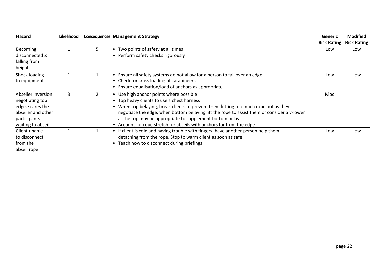| <b>Hazard</b>                                                                                                        | Likelihood |                | <b>Consequences   Management Strategy</b>                                                                                                                                                                                                                                                                                                                                                                   | Generic<br><b>Risk Rating</b> | <b>Modified</b><br><b>Risk Rating</b> |
|----------------------------------------------------------------------------------------------------------------------|------------|----------------|-------------------------------------------------------------------------------------------------------------------------------------------------------------------------------------------------------------------------------------------------------------------------------------------------------------------------------------------------------------------------------------------------------------|-------------------------------|---------------------------------------|
| Becoming<br>disconnected &<br>falling from<br>height                                                                 |            | 5.             | Two points of safety at all times<br>Perform safety checks rigorously                                                                                                                                                                                                                                                                                                                                       | Low                           | Low                                   |
| Shock loading<br>to equipment                                                                                        |            |                | Ensure all safety systems do not allow for a person to fall over an edge<br>Check for cross loading of carabineers<br>Ensure equalisation/load of anchors as appropriate                                                                                                                                                                                                                                    | Low                           | Low                                   |
| Abseiler inversion<br>negotiating top<br>edge, scares the<br>abseiler and other<br>participants<br>waiting to abseil | 3          | $\overline{2}$ | Use high anchor points where possible<br>• Top heavy clients to use a chest harness<br>When top belaying, break clients to prevent them letting too much rope out as they<br>negotiate the edge, when bottom belaying lift the rope to assist them or consider a v-lower<br>at the top may be appropriate to supplement bottom belay<br>Account for rope stretch for abseils with anchors far from the edge | Mod                           |                                       |
| l Client unable<br>to disconnect<br>from the<br>abseil rope                                                          |            |                | If client is cold and having trouble with fingers, have another person help them<br>detaching from the rope. Stop to warm client as soon as safe.<br>Teach how to disconnect during briefings                                                                                                                                                                                                               | Low                           | Low                                   |